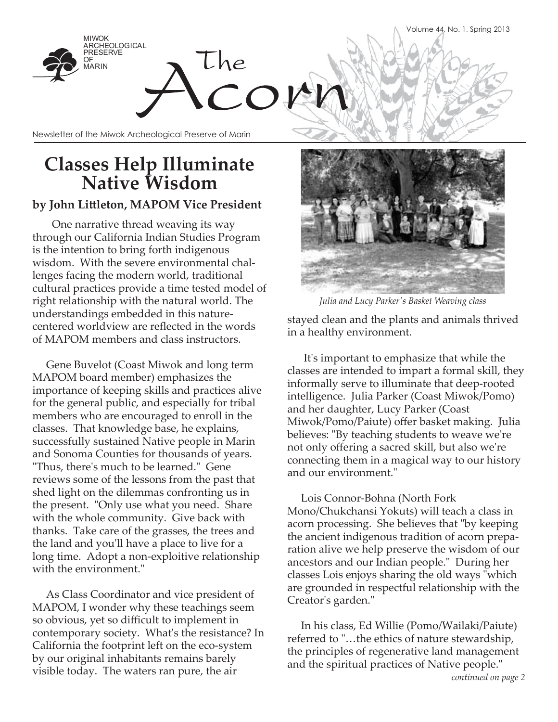

## **Classes Help Illuminate Native Wisdom**

### **by John Littleton, MAPOM Vice President**

 One narrative thread weaving its way through our California Indian Studies Program is the intention to bring forth indigenous wisdom. With the severe environmental challenges facing the modern world, traditional cultural practices provide a time tested model of right relationship with the natural world. The understandings embedded in this naturecentered worldview are reflected in the words of MAPOM members and class instructors.

 Gene Buvelot (Coast Miwok and long term MAPOM board member) emphasizes the importance of keeping skills and practices alive for the general public, and especially for tribal members who are encouraged to enroll in the classes. That knowledge base, he explains, successfully sustained Native people in Marin and Sonoma Counties for thousands of years. "Thus, there's much to be learned." Gene reviews some of the lessons from the past that shed light on the dilemmas confronting us in the present. "Only use what you need. Share with the whole community. Give back with thanks. Take care of the grasses, the trees and the land and you'll have a place to live for a long time. Adopt a non-exploitive relationship with the environment."

 As Class Coordinator and vice president of MAPOM, I wonder why these teachings seem so obvious, yet so difficult to implement in contemporary society. What's the resistance? In California the footprint left on the eco-system by our original inhabitants remains barely visible today. The waters ran pure, the air



*Julia and Lucy Parker's Basket Weaving class* 

stayed clean and the plants and animals thrived in a healthy environment.

 It's important to emphasize that while the classes are intended to impart a formal skill, they informally serve to illuminate that deep-rooted intelligence. Julia Parker (Coast Miwok/Pomo) and her daughter, Lucy Parker (Coast Miwok/Pomo/Paiute) offer basket making. Julia believes: "By teaching students to weave we're not only offering a sacred skill, but also we're connecting them in a magical way to our history and our environment."

 Lois Connor-Bohna (North Fork Mono/Chukchansi Yokuts) will teach a class in acorn processing. She believes that "by keeping the ancient indigenous tradition of acorn preparation alive we help preserve the wisdom of our ancestors and our Indian people." During her classes Lois enjoys sharing the old ways "which are grounded in respectful relationship with the Creator's garden."

 In his class, Ed Willie (Pomo/Wailaki/Paiute) referred to "…the ethics of nature stewardship, the principles of regenerative land management and the spiritual practices of Native people."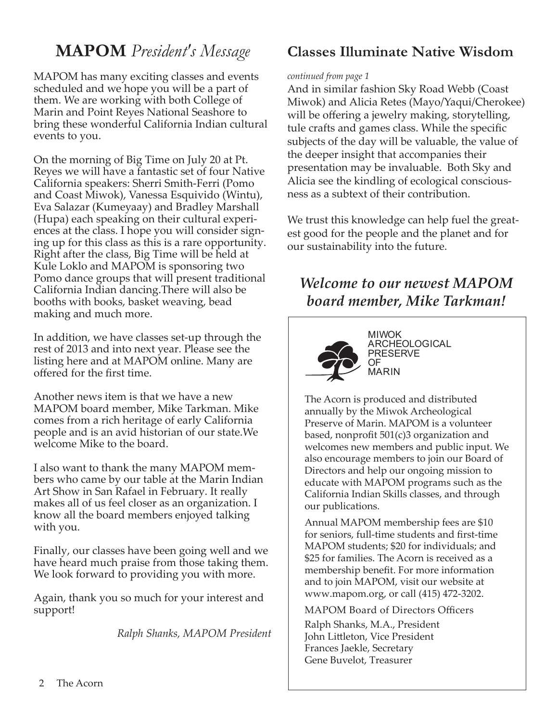## **MAPOM** *President's Message*

MAPOM has many exciting classes and events scheduled and we hope you will be a part of them. We are working with both College of Marin and Point Reyes National Seashore to bring these wonderful California Indian cultural events to you.

On the morning of Big Time on July 20 at Pt. Reyes we will have a fantastic set of four Native California speakers: Sherri Smith-Ferri (Pomo and Coast Miwok), Vanessa Esquivido (Wintu), Eva Salazar (Kumeyaay) and Bradley Marshall (Hupa) each speaking on their cultural experiences at the class. I hope you will consider signing up for this class as this is a rare opportunity. Right after the class, Big Time will be held at Kule Loklo and MAPOM is sponsoring two Pomo dance groups that will present traditional California Indian dancing.There will also be booths with books, basket weaving, bead making and much more.

In addition, we have classes set-up through the rest of 2013 and into next year. Please see the listing here and at MAPOM online. Many are offered for the first time.

Another news item is that we have a new MAPOM board member, Mike Tarkman. Mike comes from a rich heritage of early California people and is an avid historian of our state.We welcome Mike to the board.

I also want to thank the many MAPOM members who came by our table at the Marin Indian Art Show in San Rafael in February. It really makes all of us feel closer as an organization. I know all the board members enjoyed talking with you.

Finally, our classes have been going well and we have heard much praise from those taking them. We look forward to providing you with more.

Again, thank you so much for your interest and support!

*Ralph Shanks, MAPOM President*

### **Classes Illuminate Native Wisdom**

### *continued from page 1*

And in similar fashion Sky Road Webb (Coast Miwok) and Alicia Retes (Mayo/Yaqui/Cherokee) will be offering a jewelry making, storytelling, tule crafts and games class. While the specific subjects of the day will be valuable, the value of the deeper insight that accompanies their presentation may be invaluable. Both Sky and Alicia see the kindling of ecological consciousness as a subtext of their contribution.

We trust this knowledge can help fuel the greatest good for the people and the planet and for our sustainability into the future.

## *Welcome to our newest MAPOM board member, Mike Tarkman!*



MIWOK ARCHEOLOGICAL PRESERVE OF MARIN

The Acorn is produced and distributed annually by the Miwok Archeological Preserve of Marin. MAPOM is a volunteer based, nonprofit 501(c)3 organization and welcomes new members and public input. We also encourage members to join our Board of Directors and help our ongoing mission to educate with MAPOM programs such as the California Indian Skills classes, and through our publications.

Annual MAPOM membership fees are \$10 for seniors, full-time students and first-time MAPOM students; \$20 for individuals; and \$25 for families. The Acorn is received as a membership benefit. For more information and to join MAPOM, visit our website at www.mapom.org, or call (415) 472-3202.

MAPOM Board of Directors Officers Ralph Shanks, M.A., President

John Littleton, Vice President Frances Jaekle, Secretary Gene Buvelot, Treasurer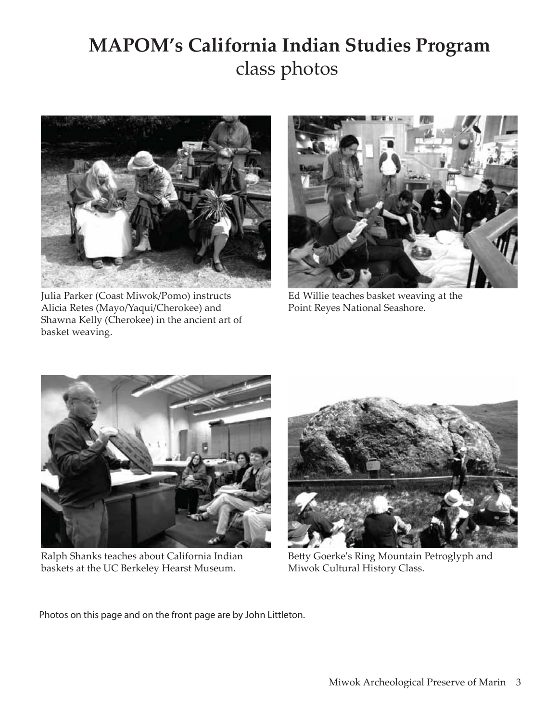# **MAPOM's California Indian Studies Program** class photos



Julia Parker (Coast Miwok/Pomo) instructs Alicia Retes (Mayo/Yaqui/Cherokee) and Shawna Kelly (Cherokee) in the ancient art of basket weaving.



Ed Willie teaches basket weaving at the Point Reyes National Seashore.



Ralph Shanks teaches about California Indian baskets at the UC Berkeley Hearst Museum.



Betty Goerke's Ring Mountain Petroglyph and Miwok Cultural History Class.

Photos on this page and on the front page are by John Littleton.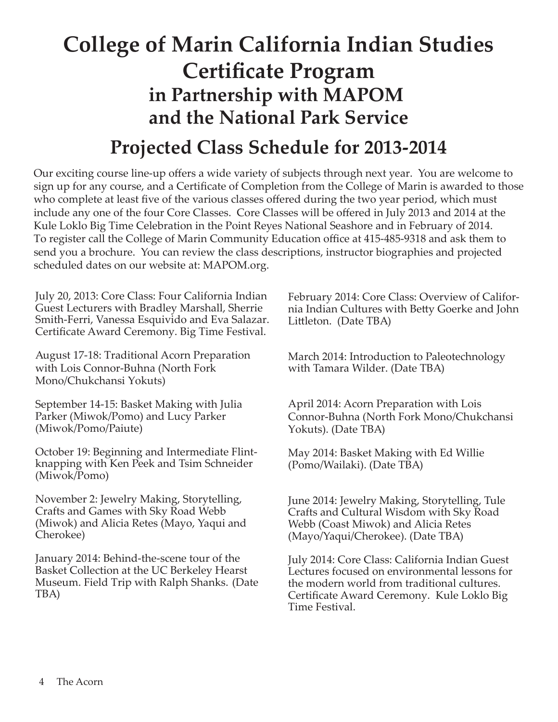# **College of Marin California Indian Studies Certificate Program in Partnership with MAPOM and the National Park Service Projected Class Schedule for 2013-2014**

Our exciting course line-up offers a wide variety of subjects through next year. You are welcome to sign up for any course, and a Certificate of Completion from the College of Marin is awarded to those who complete at least five of the various classes offered during the two year period, which must include any one of the four Core Classes. Core Classes will be offered in July 2013 and 2014 at the Kule Loklo Big Time Celebration in the Point Reyes National Seashore and in February of 2014. To register call the College of Marin Community Education office at 415-485-9318 and ask them to send you a brochure. You can review the class descriptions, instructor biographies and projected scheduled dates on our website at: MAPOM.org.

July 20, 2013: Core Class: Four California Indian Guest Lecturers with Bradley Marshall, Sherrie Smith-Ferri, Vanessa Esquivido and Eva Salazar. Certificate Award Ceremony. Big Time Festival.

August 17-18: Traditional Acorn Preparation with Lois Connor-Buhna (North Fork Mono/Chukchansi Yokuts)

September 14-15: Basket Making with Julia Parker (Miwok/Pomo) and Lucy Parker (Miwok/Pomo/Paiute)

October 19: Beginning and Intermediate Flintknapping with Ken Peek and Tsim Schneider (Miwok/Pomo)

November 2: Jewelry Making, Storytelling, Crafts and Games with Sky Road Webb (Miwok) and Alicia Retes (Mayo, Yaqui and Cherokee)

January 2014: Behind-the-scene tour of the Basket Collection at the UC Berkeley Hearst Museum. Field Trip with Ralph Shanks. (Date TBA)

February 2014: Core Class: Overview of California Indian Cultures with Betty Goerke and John Littleton. (Date TBA)

March 2014: Introduction to Paleotechnology with Tamara Wilder. (Date TBA)

April 2014: Acorn Preparation with Lois Connor-Buhna (North Fork Mono/Chukchansi Yokuts). (Date TBA)

May 2014: Basket Making with Ed Willie (Pomo/Wailaki). (Date TBA)

June 2014: Jewelry Making, Storytelling, Tule Crafts and Cultural Wisdom with Sky Road Webb (Coast Miwok) and Alicia Retes (Mayo/Yaqui/Cherokee). (Date TBA)

July 2014: Core Class: California Indian Guest Lectures focused on environmental lessons for the modern world from traditional cultures. Certificate Award Ceremony. Kule Loklo Big Time Festival.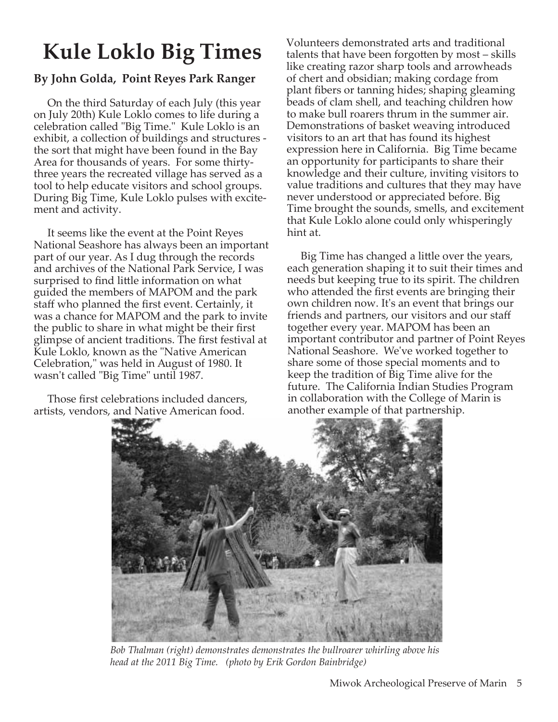# **Kule Loklo Big Times**

### **By John Golda, Point Reyes Park Ranger**

 On the third Saturday of each July (this year on July 20th) Kule Loklo comes to life during a celebration called "Big Time." Kule Loklo is an exhibit, a collection of buildings and structures the sort that might have been found in the Bay Area for thousands of years. For some thirtythree years the recreated village has served as a tool to help educate visitors and school groups. During Big Time, Kule Loklo pulses with excitement and activity.

 It seems like the event at the Point Reyes National Seashore has always been an important part of our year. As I dug through the records and archives of the National Park Service, I was surprised to find little information on what guided the members of MAPOM and the park staff who planned the first event. Certainly, it was a chance for MAPOM and the park to invite the public to share in what might be their first glimpse of ancient traditions. The first festival at Kule Loklo, known as the "Native American Celebration," was held in August of 1980. It wasn't called "Big Time" until 1987.

 Those first celebrations included dancers, artists, vendors, and Native American food.

Volunteers demonstrated arts and traditional talents that have been forgotten by most – skills like creating razor sharp tools and arrowheads of chert and obsidian; making cordage from plant fibers or tanning hides; shaping gleaming beads of clam shell, and teaching children how to make bull roarers thrum in the summer air. Demonstrations of basket weaving introduced visitors to an art that has found its highest expression here in California. Big Time became an opportunity for participants to share their knowledge and their culture, inviting visitors to value traditions and cultures that they may have never understood or appreciated before. Big Time brought the sounds, smells, and excitement that Kule Loklo alone could only whisperingly hint at.

 Big Time has changed a little over the years, each generation shaping it to suit their times and needs but keeping true to its spirit. The children who attended the first events are bringing their own children now. It's an event that brings our friends and partners, our visitors and our staff together every year. MAPOM has been an important contributor and partner of Point Reyes National Seashore. We've worked together to share some of those special moments and to keep the tradition of Big Time alive for the future. The California Indian Studies Program in collaboration with the College of Marin is another example of that partnership.



*Bob Thalman (right) demonstrates demonstrates the bullroarer whirling above his head at the 2011 Big Time. (photo by Erik Gordon Bainbridge)*